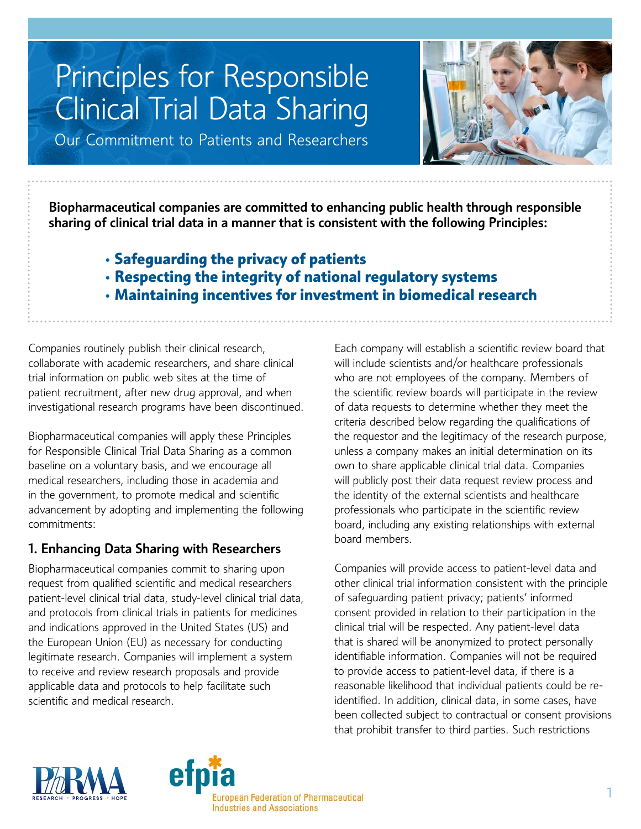# Principles for Responsible Clinical Trial Data Sharing

Our Commitment to Patients and Researchers

Biopharmaceutical companies are committed to enhancing public health through responsible sharing of clinical trial data in a manner that is consistent with the following Principles:

- **• Safeguarding the privacy of patients**
- **• Respecting the integrity of national regulatory systems**
- **• Maintaining incentives for investment in biomedical research**

Companies routinely publish their clinical research, collaborate with academic researchers, and share clinical trial information on public web sites at the time of patient recruitment, after new drug approval, and when investigational research programs have been discontinued.

Biopharmaceutical companies will apply these Principles for Responsible Clinical Trial Data Sharing as a common baseline on a voluntary basis, and we encourage all medical researchers, including those in academia and in the government, to promote medical and scientific advancement by adopting and implementing the following commitments:

# 1. Enhancing Data Sharing with Researchers

Biopharmaceutical companies commit to sharing upon request from qualified scientific and medical researchers patient-level clinical trial data, study-level clinical trial data, and protocols from clinical trials in patients for medicines and indications approved in the United States (US) and the European Union (EU) as necessary for conducting legitimate research. Companies will implement a system to receive and review research proposals and provide applicable data and protocols to help facilitate such scientific and medical research.

Each company will establish a scientific review board that will include scientists and/or healthcare professionals who are not employees of the company. Members of the scientific review boards will participate in the review of data requests to determine whether they meet the criteria described below regarding the qualifications of the requestor and the legitimacy of the research purpose, unless a company makes an initial determination on its own to share applicable clinical trial data. Companies will publicly post their data request review process and the identity of the external scientists and healthcare professionals who participate in the scientific review board, including any existing relationships with external board members.

Companies will provide access to patient-level data and other clinical trial information consistent with the principle of safeguarding patient privacy; patients' informed consent provided in relation to their participation in the clinical trial will be respected. Any patient-level data that is shared will be anonymized to protect personally identifiable information. Companies will not be required to provide access to patient-level data, if there is a reasonable likelihood that individual patients could be reidentified. In addition, clinical data, in some cases, have been collected subject to contractual or consent provisions that prohibit transfer to third parties. Such restrictions



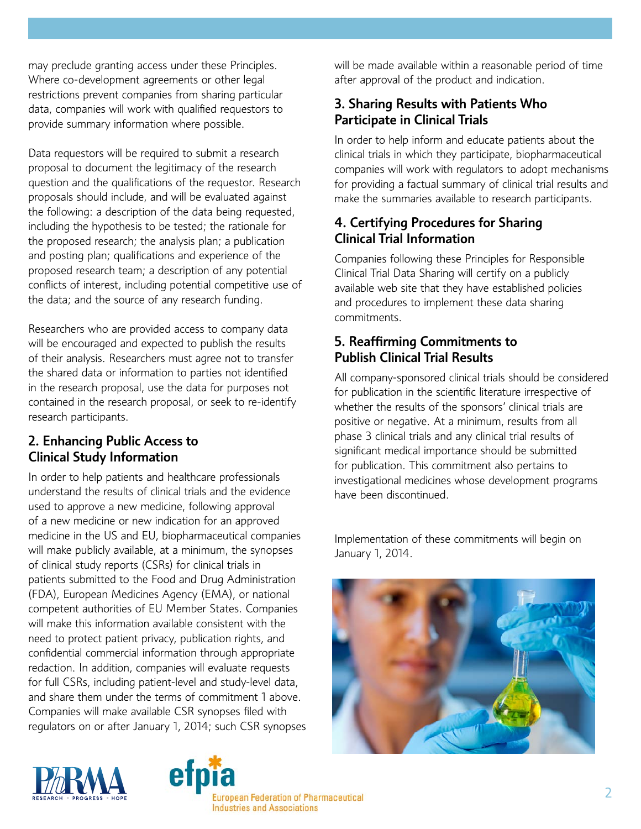may preclude granting access under these Principles. Where co-development agreements or other legal restrictions prevent companies from sharing particular data, companies will work with qualified requestors to provide summary information where possible.

Data requestors will be required to submit a research proposal to document the legitimacy of the research question and the qualifications of the requestor. Research proposals should include, and will be evaluated against the following: a description of the data being requested, including the hypothesis to be tested; the rationale for the proposed research; the analysis plan; a publication and posting plan; qualifications and experience of the proposed research team; a description of any potential conflicts of interest, including potential competitive use of the data; and the source of any research funding.

Researchers who are provided access to company data will be encouraged and expected to publish the results of their analysis. Researchers must agree not to transfer the shared data or information to parties not identified in the research proposal, use the data for purposes not contained in the research proposal, or seek to re-identify research participants.

## 2. Enhancing Public Access to Clinical Study Information

In order to help patients and healthcare professionals understand the results of clinical trials and the evidence used to approve a new medicine, following approval of a new medicine or new indication for an approved medicine in the US and EU, biopharmaceutical companies will make publicly available, at a minimum, the synopses of clinical study reports (CSRs) for clinical trials in patients submitted to the Food and Drug Administration (FDA), European Medicines Agency (EMA), or national competent authorities of EU Member States. Companies will make this information available consistent with the need to protect patient privacy, publication rights, and confidential commercial information through appropriate redaction. In addition, companies will evaluate requests for full CSRs, including patient-level and study-level data, and share them under the terms of commitment 1 above. Companies will make available CSR synopses filed with regulators on or after January 1, 2014; such CSR synopses will be made available within a reasonable period of time after approval of the product and indication.

## 3. Sharing Results with Patients Who Participate in Clinical Trials

In order to help inform and educate patients about the clinical trials in which they participate, biopharmaceutical companies will work with regulators to adopt mechanisms for providing a factual summary of clinical trial results and make the summaries available to research participants.

# 4. Certifying Procedures for Sharing Clinical Trial Information

Companies following these Principles for Responsible Clinical Trial Data Sharing will certify on a publicly available web site that they have established policies and procedures to implement these data sharing commitments.

# 5. Reaffirming Commitments to Publish Clinical Trial Results

All company-sponsored clinical trials should be considered for publication in the scientific literature irrespective of whether the results of the sponsors' clinical trials are positive or negative. At a minimum, results from all phase 3 clinical trials and any clinical trial results of significant medical importance should be submitted for publication. This commitment also pertains to investigational medicines whose development programs have been discontinued.

Implementation of these commitments will begin on January 1, 2014.





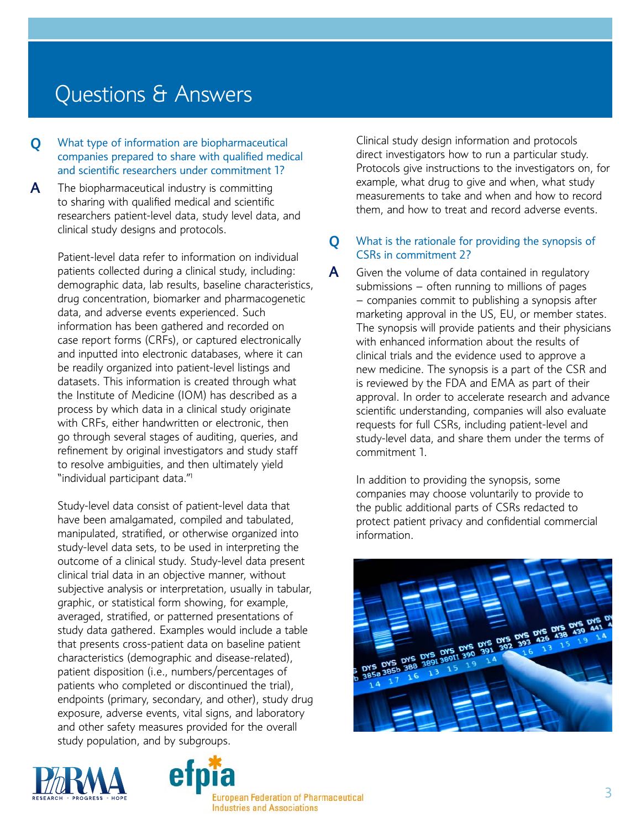# Questions & Answers

**Q** What type of information are biopharmaceutical companies prepared to share with qualified medical and scientific researchers under commitment 1?

 $\mathsf{A}$  The biopharmaceutical industry is committing to sharing with qualified medical and scientific researchers patient-level data, study level data, and clinical study designs and protocols.

Patient-level data refer to information on individual patients collected during a clinical study, including: demographic data, lab results, baseline characteristics, drug concentration, biomarker and pharmacogenetic data, and adverse events experienced. Such information has been gathered and recorded on case report forms (CRFs), or captured electronically and inputted into electronic databases, where it can be readily organized into patient-level listings and datasets. This information is created through what the Institute of Medicine (IOM) has described as a process by which data in a clinical study originate with CRFs, either handwritten or electronic, then go through several stages of auditing, queries, and refinement by original investigators and study staff to resolve ambiguities, and then ultimately yield "individual participant data."<sup>1</sup>

Study-level data consist of patient-level data that have been amalgamated, compiled and tabulated, manipulated, stratified, or otherwise organized into study-level data sets, to be used in interpreting the outcome of a clinical study. Study-level data present clinical trial data in an objective manner, without subjective analysis or interpretation, usually in tabular, graphic, or statistical form showing, for example, averaged, stratified, or patterned presentations of study data gathered. Examples would include a table that presents cross-patient data on baseline patient characteristics (demographic and disease-related), patient disposition (i.e., numbers/percentages of patients who completed or discontinued the trial), endpoints (primary, secondary, and other), study drug exposure, adverse events, vital signs, and laboratory and other safety measures provided for the overall study population, and by subgroups.

Clinical study design information and protocols direct investigators how to run a particular study. Protocols give instructions to the investigators on, for example, what drug to give and when, what study measurements to take and when and how to record them, and how to treat and record adverse events.

**Q** What is the rationale for providing the synopsis of CSRs in commitment 2?

 $\mathsf{\mathsf{A}}$  Given the volume of data contained in regulatory submissions – often running to millions of pages – companies commit to publishing a synopsis after marketing approval in the US, EU, or member states. The synopsis will provide patients and their physicians with enhanced information about the results of clinical trials and the evidence used to approve a new medicine. The synopsis is a part of the CSR and is reviewed by the FDA and EMA as part of their approval. In order to accelerate research and advance scientific understanding, companies will also evaluate requests for full CSRs, including patient-level and study-level data, and share them under the terms of commitment 1.

In addition to providing the synopsis, some companies may choose voluntarily to provide to the public additional parts of CSRs redacted to protect patient privacy and confidential commercial information.





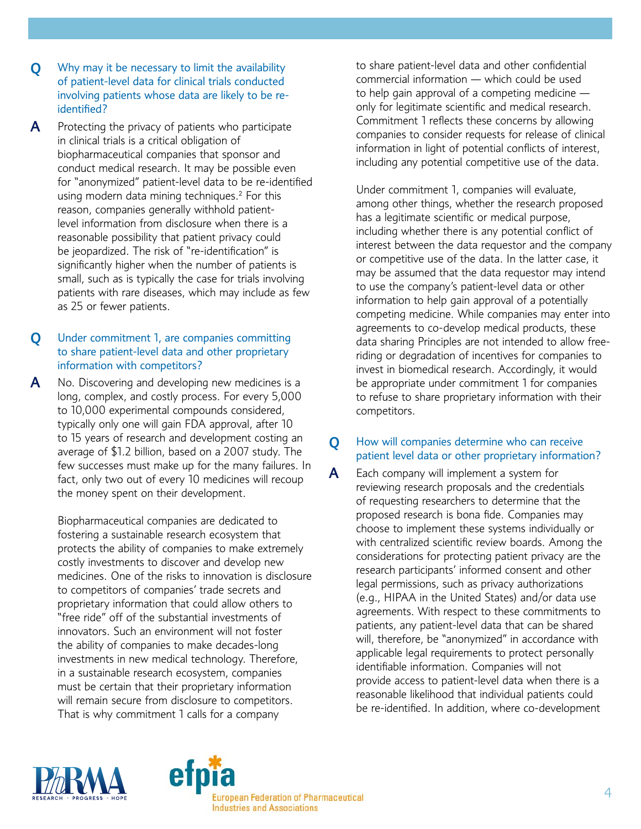- **Q** Why may it be necessary to limit the availability of patient-level data for clinical trials conducted involving patients whose data are likely to be reidentified?
- A Protecting the privacy of patients who participate in clinical trials is a critical obligation of biopharmaceutical companies that sponsor and conduct medical research. It may be possible even for "anonymized" patient-level data to be re-identified using modern data mining techniques.<sup>2</sup> For this reason, companies generally withhold patientlevel information from disclosure when there is a reasonable possibility that patient privacy could be jeopardized. The risk of "re-identification" is significantly higher when the number of patients is small, such as is typically the case for trials involving patients with rare diseases, which may include as few as 25 or fewer patients.

### Q Under commitment 1, are companies committing to share patient-level data and other proprietary information with competitors?

A No. Discovering and developing new medicines is a long, complex, and costly process. For every 5,000 to 10,000 experimental compounds considered, typically only one will gain FDA approval, after 10 to 15 years of research and development costing an average of \$1.2 billion, based on a 2007 study. The few successes must make up for the many failures. In fact, only two out of every 10 medicines will recoup the money spent on their development.

Biopharmaceutical companies are dedicated to fostering a sustainable research ecosystem that protects the ability of companies to make extremely costly investments to discover and develop new medicines. One of the risks to innovation is disclosure to competitors of companies' trade secrets and proprietary information that could allow others to "free ride" off of the substantial investments of innovators. Such an environment will not foster the ability of companies to make decades-long investments in new medical technology. Therefore, in a sustainable research ecosystem, companies must be certain that their proprietary information will remain secure from disclosure to competitors. That is why commitment 1 calls for a company

to share patient-level data and other confidential commercial information — which could be used to help gain approval of a competing medicine  $$ only for legitimate scientific and medical research. Commitment 1 reflects these concerns by allowing companies to consider requests for release of clinical information in light of potential conflicts of interest, including any potential competitive use of the data.

Under commitment 1, companies will evaluate, among other things, whether the research proposed has a legitimate scientific or medical purpose, including whether there is any potential conflict of interest between the data requestor and the company or competitive use of the data. In the latter case, it may be assumed that the data requestor may intend to use the company's patient-level data or other information to help gain approval of a potentially competing medicine. While companies may enter into agreements to co-develop medical products, these data sharing Principles are not intended to allow freeriding or degradation of incentives for companies to invest in biomedical research. Accordingly, it would be appropriate under commitment 1 for companies to refuse to share proprietary information with their competitors.

### **Q** How will companies determine who can receive patient level data or other proprietary information?

 $\mathsf{\mathsf{A}}$  Each company will implement a system for reviewing research proposals and the credentials of requesting researchers to determine that the proposed research is bona fide. Companies may choose to implement these systems individually or with centralized scientific review boards. Among the considerations for protecting patient privacy are the research participants' informed consent and other legal permissions, such as privacy authorizations (e.g., HIPAA in the United States) and/or data use agreements. With respect to these commitments to patients, any patient-level data that can be shared will, therefore, be "anonymized" in accordance with applicable legal requirements to protect personally identifiable information. Companies will not provide access to patient-level data when there is a reasonable likelihood that individual patients could be re-identified. In addition, where co-development